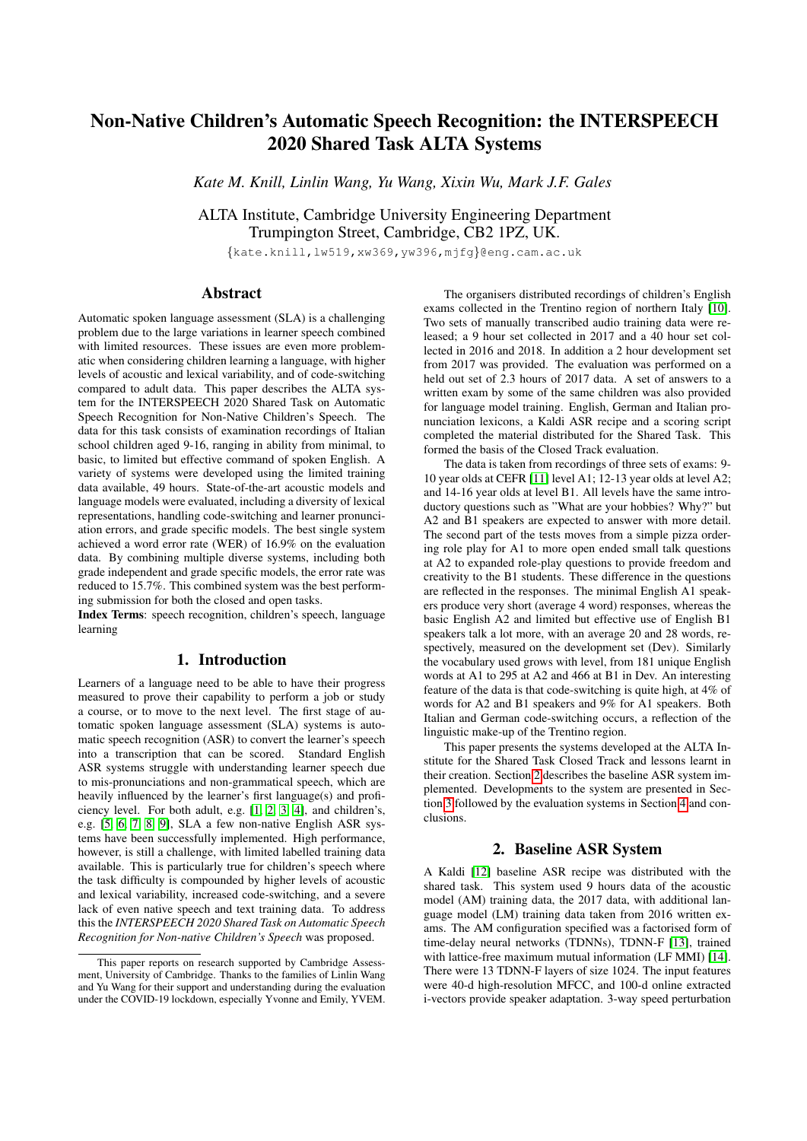# Non-Native Children's Automatic Speech Recognition: the INTERSPEECH 2020 Shared Task ALTA Systems

*Kate M. Knill, Linlin Wang, Yu Wang, Xixin Wu, Mark J.F. Gales*

ALTA Institute, Cambridge University Engineering Department Trumpington Street, Cambridge, CB2 1PZ, UK.

{kate.knill,lw519,xw369,yw396,mjfg}@eng.cam.ac.uk

# Abstract

Automatic spoken language assessment (SLA) is a challenging problem due to the large variations in learner speech combined with limited resources. These issues are even more problematic when considering children learning a language, with higher levels of acoustic and lexical variability, and of code-switching compared to adult data. This paper describes the ALTA system for the INTERSPEECH 2020 Shared Task on Automatic Speech Recognition for Non-Native Children's Speech. The data for this task consists of examination recordings of Italian school children aged 9-16, ranging in ability from minimal, to basic, to limited but effective command of spoken English. A variety of systems were developed using the limited training data available, 49 hours. State-of-the-art acoustic models and language models were evaluated, including a diversity of lexical representations, handling code-switching and learner pronunciation errors, and grade specific models. The best single system achieved a word error rate (WER) of 16.9% on the evaluation data. By combining multiple diverse systems, including both grade independent and grade specific models, the error rate was reduced to 15.7%. This combined system was the best performing submission for both the closed and open tasks.

Index Terms: speech recognition, children's speech, language learning

# 1. Introduction

Learners of a language need to be able to have their progress measured to prove their capability to perform a job or study a course, or to move to the next level. The first stage of automatic spoken language assessment (SLA) systems is automatic speech recognition (ASR) to convert the learner's speech into a transcription that can be scored. Standard English ASR systems struggle with understanding learner speech due to mis-pronunciations and non-grammatical speech, which are heavily influenced by the learner's first language(s) and proficiency level. For both adult, e.g. [\[1,](#page-4-0) [2,](#page-4-1) [3,](#page-4-2) [4\]](#page-4-3), and children's, e.g. [\[5,](#page-4-4) [6,](#page-4-5) [7,](#page-4-6) [8,](#page-4-7) [9\]](#page-4-8), SLA a few non-native English ASR systems have been successfully implemented. High performance, however, is still a challenge, with limited labelled training data available. This is particularly true for children's speech where the task difficulty is compounded by higher levels of acoustic and lexical variability, increased code-switching, and a severe lack of even native speech and text training data. To address this the *INTERSPEECH 2020 Shared Task on Automatic Speech Recognition for Non-native Children's Speech* was proposed.

The organisers distributed recordings of children's English exams collected in the Trentino region of northern Italy [\[10\]](#page-4-9). Two sets of manually transcribed audio training data were released; a 9 hour set collected in 2017 and a 40 hour set collected in 2016 and 2018. In addition a 2 hour development set from 2017 was provided. The evaluation was performed on a held out set of 2.3 hours of 2017 data. A set of answers to a written exam by some of the same children was also provided for language model training. English, German and Italian pronunciation lexicons, a Kaldi ASR recipe and a scoring script completed the material distributed for the Shared Task. This formed the basis of the Closed Track evaluation.

The data is taken from recordings of three sets of exams: 9- 10 year olds at CEFR [\[11\]](#page-4-10) level A1; 12-13 year olds at level A2; and 14-16 year olds at level B1. All levels have the same introductory questions such as "What are your hobbies? Why?" but A2 and B1 speakers are expected to answer with more detail. The second part of the tests moves from a simple pizza ordering role play for A1 to more open ended small talk questions at A2 to expanded role-play questions to provide freedom and creativity to the B1 students. These difference in the questions are reflected in the responses. The minimal English A1 speakers produce very short (average 4 word) responses, whereas the basic English A2 and limited but effective use of English B1 speakers talk a lot more, with an average 20 and 28 words, respectively, measured on the development set (Dev). Similarly the vocabulary used grows with level, from 181 unique English words at A1 to 295 at A2 and 466 at B1 in Dev. An interesting feature of the data is that code-switching is quite high, at 4% of words for A2 and B1 speakers and 9% for A1 speakers. Both Italian and German code-switching occurs, a reflection of the linguistic make-up of the Trentino region.

This paper presents the systems developed at the ALTA Institute for the Shared Task Closed Track and lessons learnt in their creation. Section [2](#page-0-0) describes the baseline ASR system implemented. Developments to the system are presented in Section [3](#page-1-0) followed by the evaluation systems in Section [4](#page-3-0) and conclusions.

#### 2. Baseline ASR System

<span id="page-0-0"></span>A Kaldi [\[12\]](#page-4-11) baseline ASR recipe was distributed with the shared task. This system used  $\overline{9}$  hours data of the acoustic model (AM) training data, the 2017 data, with additional language model (LM) training data taken from 2016 written exams. The AM configuration specified was a factorised form of time-delay neural networks (TDNNs), TDNN-F [\[13\]](#page-4-12), trained with lattice-free maximum mutual information (LF MMI) [\[14\]](#page-4-13). There were 13 TDNN-F layers of size 1024. The input features were 40-d high-resolution MFCC, and 100-d online extracted i-vectors provide speaker adaptation. 3-way speed perturbation

This paper reports on research supported by Cambridge Assessment, University of Cambridge. Thanks to the families of Linlin Wang and Yu Wang for their support and understanding during the evaluation under the COVID-19 lockdown, especially Yvonne and Emily, YVEM.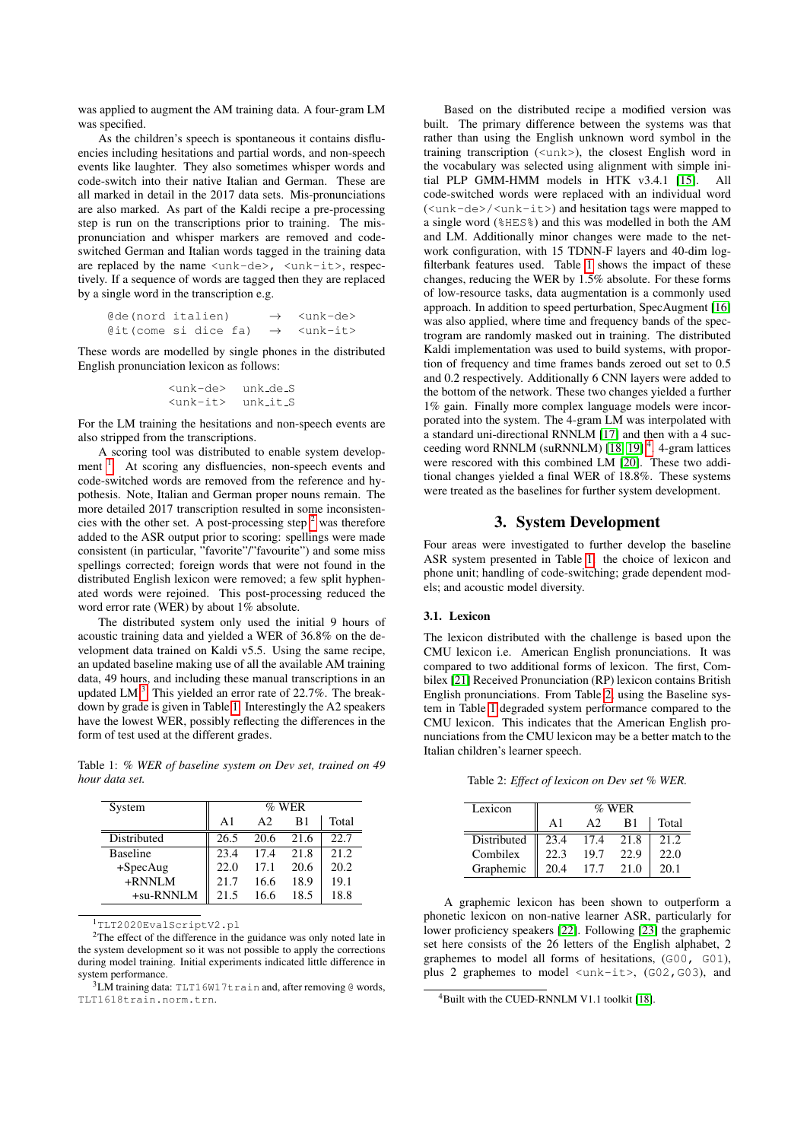was applied to augment the AM training data. A four-gram LM was specified.

As the children's speech is spontaneous it contains disfluencies including hesitations and partial words, and non-speech events like laughter. They also sometimes whisper words and code-switch into their native Italian and German. These are all marked in detail in the 2017 data sets. Mis-pronunciations are also marked. As part of the Kaldi recipe a pre-processing step is run on the transcriptions prior to training. The mispronunciation and whisper markers are removed and codeswitched German and Italian words tagged in the training data are replaced by the name  $\langle \text{unk-de} \rangle$ ,  $\langle \text{unk-it} \rangle$ , respectively. If a sequence of words are tagged then they are replaced by a single word in the transcription e.g.

| @de(nord italien)    |  |  | $\rightarrow$ <unk-de></unk-de> |
|----------------------|--|--|---------------------------------|
| @it(come si dice fa) |  |  | $\rightarrow$ <unk-it></unk-it> |

These words are modelled by single phones in the distributed English pronunciation lexicon as follows:

```
<unk-de> unk de S
<unk-it> unk it S
```
For the LM training the hesitations and non-speech events are also stripped from the transcriptions.

A scoring tool was distributed to enable system develop-ment <sup>[1](#page-1-1)</sup>. At scoring any disfluencies, non-speech events and code-switched words are removed from the reference and hypothesis. Note, Italian and German proper nouns remain. The more detailed 2017 transcription resulted in some inconsistencies with the other set. A post-processing step  $2$  was therefore added to the ASR output prior to scoring: spellings were made consistent (in particular, "favorite"/"favourite") and some miss spellings corrected; foreign words that were not found in the distributed English lexicon were removed; a few split hyphenated words were rejoined. This post-processing reduced the word error rate (WER) by about 1% absolute.

The distributed system only used the initial 9 hours of acoustic training data and yielded a WER of 36.8% on the development data trained on Kaldi v5.5. Using the same recipe, an updated baseline making use of all the available AM training data, 49 hours, and including these manual transcriptions in an updated LM $<sup>3</sup>$  $<sup>3</sup>$  $<sup>3</sup>$ . This yielded an error rate of 22.7%. The break-</sup> down by grade is given in Table [1.](#page-1-4) Interestingly the A2 speakers have the lowest WER, possibly reflecting the differences in the form of test used at the different grades.

<span id="page-1-4"></span>Table 1: *% WER of baseline system on Dev set, trained on 49 hour data set.*

| System          | $%$ WER    |      |      |       |  |
|-----------------|------------|------|------|-------|--|
|                 | $\Delta$ 1 | A2   | B1   | Total |  |
| Distributed     | 26.5       | 20.6 | 21.6 | 22.7  |  |
| <b>Baseline</b> | 23.4       | 17.4 | 21.8 | 21.2  |  |
| $+SpecAug$      | 22.0       | 17.1 | 20.6 | 20.2  |  |
| $+$ RNNLM       | 21.7       | 16.6 | 18.9 | 19.1  |  |
| +su-RNNLM       | 21.5       | 16.6 | 18.5 | 18.8  |  |

<span id="page-1-2"></span><span id="page-1-1"></span><sup>1</sup>TLT2020EvalScriptV2.pl

<sup>2</sup>The effect of the difference in the guidance was only noted late in the system development so it was not possible to apply the corrections during model training. Initial experiments indicated little difference in system performance.

<span id="page-1-3"></span> $3LM$  training data: TLT16W17train and, after removing @ words, TLT1618train.norm.trn.

Based on the distributed recipe a modified version was built. The primary difference between the systems was that rather than using the English unknown word symbol in the training transcription (<unk>), the closest English word in the vocabulary was selected using alignment with simple initial PLP GMM-HMM models in HTK v3.4.1 [\[15\]](#page-4-14). All code-switched words were replaced with an individual word (<unk-de>/<unk-it>) and hesitation tags were mapped to a single word (%HES%) and this was modelled in both the AM and LM. Additionally minor changes were made to the network configuration, with 15 TDNN-F layers and 40-dim logfilterbank features used. Table [1](#page-1-4) shows the impact of these changes, reducing the WER by 1.5% absolute. For these forms of low-resource tasks, data augmentation is a commonly used approach. In addition to speed perturbation, SpecAugment [\[16\]](#page-4-15) was also applied, where time and frequency bands of the spectrogram are randomly masked out in training. The distributed Kaldi implementation was used to build systems, with proportion of frequency and time frames bands zeroed out set to 0.5 and 0.2 respectively. Additionally 6 CNN layers were added to the bottom of the network. These two changes yielded a further 1% gain. Finally more complex language models were incorporated into the system. The 4-gram LM was interpolated with a standard uni-directional RNNLM [\[17\]](#page-4-16) and then with a 4 suc-ceeding word RNNLM (suRNNLM) [\[18,](#page-4-17) [19\]](#page-4-18)<sup>[4](#page-1-5)</sup>. 4-gram lattices were rescored with this combined LM [\[20\]](#page-4-19). These two additional changes yielded a final WER of 18.8%. These systems were treated as the baselines for further system development.

# 3. System Development

<span id="page-1-0"></span>Four areas were investigated to further develop the baseline ASR system presented in Table [1:](#page-1-4) the choice of lexicon and phone unit; handling of code-switching; grade dependent models; and acoustic model diversity.

#### 3.1. Lexicon

The lexicon distributed with the challenge is based upon the CMU lexicon i.e. American English pronunciations. It was compared to two additional forms of lexicon. The first, Combilex [\[21\]](#page-4-20) Received Pronunciation (RP) lexicon contains British English pronunciations. From Table [2,](#page-1-6) using the Baseline system in Table [1](#page-1-4) degraded system performance compared to the CMU lexicon. This indicates that the American English pronunciations from the CMU lexicon may be a better match to the Italian children's learner speech.

<span id="page-1-6"></span>Table 2: *Effect of lexicon on Dev set % WER.*

| Lexicon     | $%$ WER    |                |      |       |  |  |
|-------------|------------|----------------|------|-------|--|--|
|             | $\Delta$ 1 | A <sub>2</sub> | R1   | Total |  |  |
| Distributed | 23.4       | 17.4           | 21.8 | 21.2  |  |  |
| Combilex    | 22.3       | 19.7           | 22.9 | 22.0  |  |  |
| Graphemic   | 204        | 177            | 21.0 | 20.1  |  |  |

A graphemic lexicon has been shown to outperform a phonetic lexicon on non-native learner ASR, particularly for lower proficiency speakers [\[22\]](#page-4-21). Following [\[23\]](#page-4-22) the graphemic set here consists of the 26 letters of the English alphabet, 2 graphemes to model all forms of hesitations, (G00, G01), plus 2 graphemes to model  $\langle \text{unk-it}\rangle$ , (G02, G03), and

<span id="page-1-5"></span><sup>&</sup>lt;sup>4</sup>Built with the CUED-RNNLM V1.1 toolkit [\[18\]](#page-4-17).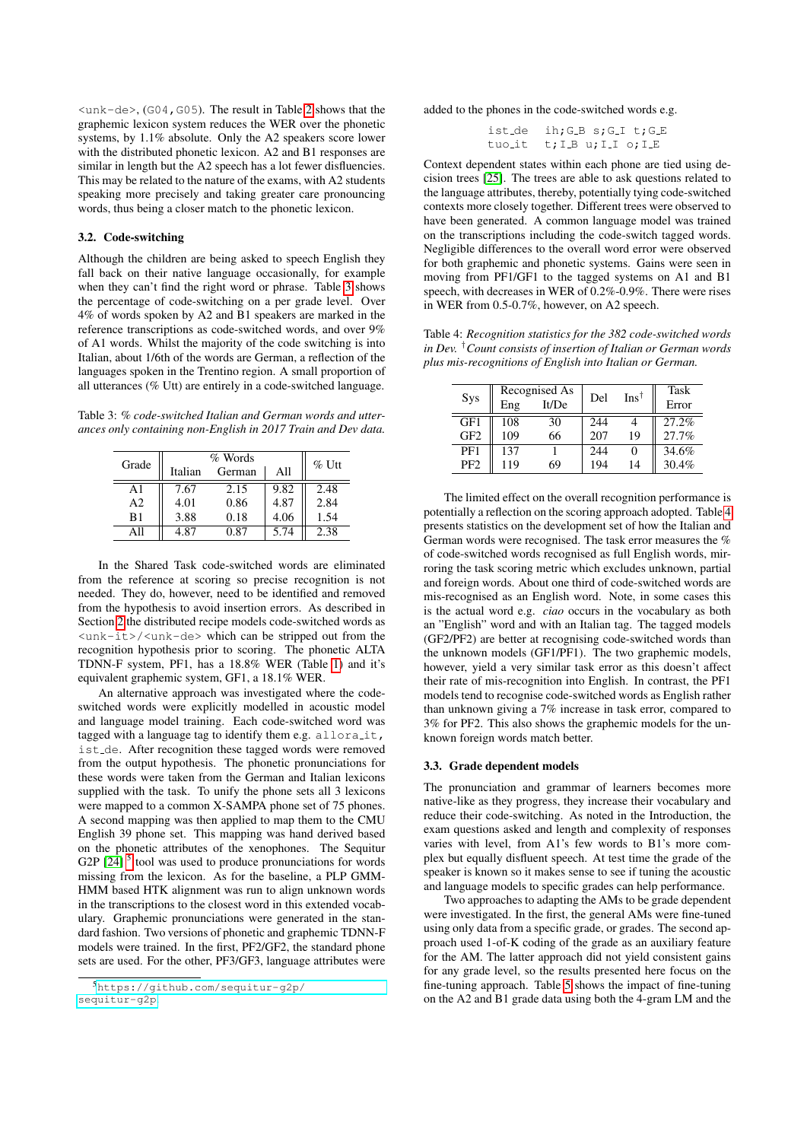$\langle$ unk-de>, (G04, G05). The result in Table [2](#page-1-6) shows that the graphemic lexicon system reduces the WER over the phonetic systems, by 1.1% absolute. Only the A2 speakers score lower with the distributed phonetic lexicon. A2 and B1 responses are similar in length but the A2 speech has a lot fewer disfluencies. This may be related to the nature of the exams, with A2 students speaking more precisely and taking greater care pronouncing words, thus being a closer match to the phonetic lexicon.

#### 3.2. Code-switching

Although the children are being asked to speech English they fall back on their native language occasionally, for example when they can't find the right word or phrase. Table [3](#page-2-0) shows the percentage of code-switching on a per grade level. Over 4% of words spoken by A2 and B1 speakers are marked in the reference transcriptions as code-switched words, and over 9% of A1 words. Whilst the majority of the code switching is into Italian, about 1/6th of the words are German, a reflection of the languages spoken in the Trentino region. A small proportion of all utterances (% Utt) are entirely in a code-switched language.

<span id="page-2-0"></span>Table 3: *% code-switched Italian and German words and utterances only containing non-English in 2017 Train and Dev data.*

| Grade          |         | $\%$ Utt |      |      |
|----------------|---------|----------|------|------|
|                | Italian | German   | All  |      |
| A1             | 7.67    | 2.15     | 9.82 | 2.48 |
| A <sub>2</sub> | 4.01    | 0.86     | 4.87 | 2.84 |
| B1             | 3.88    | 0.18     | 4.06 | 1.54 |
| Αll            | 4.87    | 0.87     | 5.74 | 2.38 |

In the Shared Task code-switched words are eliminated from the reference at scoring so precise recognition is not needed. They do, however, need to be identified and removed from the hypothesis to avoid insertion errors. As described in Section [2](#page-0-0) the distributed recipe models code-switched words as <unk-it>/<unk-de> which can be stripped out from the recognition hypothesis prior to scoring. The phonetic ALTA TDNN-F system, PF1, has a 18.8% WER (Table [1\)](#page-1-4) and it's equivalent graphemic system, GF1, a 18.1% WER.

An alternative approach was investigated where the codeswitched words were explicitly modelled in acoustic model and language model training. Each code-switched word was tagged with a language tag to identify them e.g. alloralit, ist de. After recognition these tagged words were removed from the output hypothesis. The phonetic pronunciations for these words were taken from the German and Italian lexicons supplied with the task. To unify the phone sets all 3 lexicons were mapped to a common X-SAMPA phone set of 75 phones. A second mapping was then applied to map them to the CMU English 39 phone set. This mapping was hand derived based on the phonetic attributes of the xenophones. The Sequitur G2P  $[24]$ <sup>[5](#page-2-1)</sup> tool was used to produce pronunciations for words missing from the lexicon. As for the baseline, a PLP GMM-HMM based HTK alignment was run to align unknown words in the transcriptions to the closest word in this extended vocabulary. Graphemic pronunciations were generated in the standard fashion. Two versions of phonetic and graphemic TDNN-F models were trained. In the first, PF2/GF2, the standard phone sets are used. For the other, PF3/GF3, language attributes were added to the phones in the code-switched words e.g.

$$
ist.de ih;GB s;G.I t;G.E
$$
  
\n
$$
tuo-it t;I.B u;I.I o;I.E
$$

Context dependent states within each phone are tied using decision trees [\[25\]](#page-4-24). The trees are able to ask questions related to the language attributes, thereby, potentially tying code-switched contexts more closely together. Different trees were observed to have been generated. A common language model was trained on the transcriptions including the code-switch tagged words. Negligible differences to the overall word error were observed for both graphemic and phonetic systems. Gains were seen in moving from PF1/GF1 to the tagged systems on A1 and B1 speech, with decreases in WER of 0.2%-0.9%. There were rises in WER from 0.5-0.7%, however, on A2 speech.

<span id="page-2-2"></span>Table 4: *Recognition statistics for the 382 code-switched words in Dev.* †*Count consists of insertion of Italian or German words plus mis-recognitions of English into Italian or German.*

|                 |     | Recognised As | Del | $Ins^{\dagger}$ | Task  |
|-----------------|-----|---------------|-----|-----------------|-------|
| Sys             | Eng | It/De         |     |                 | Error |
| GF1             | 108 | 30            | 244 |                 | 27.2% |
| GF <sub>2</sub> | 109 | 66            | 207 | 19              | 27.7% |
| PF1             | 137 |               | 244 | 0               | 34.6% |
| PF <sub>2</sub> | 119 | 69            | 194 | 14              | 30.4% |

The limited effect on the overall recognition performance is potentially a reflection on the scoring approach adopted. Table [4](#page-2-2) presents statistics on the development set of how the Italian and German words were recognised. The task error measures the % of code-switched words recognised as full English words, mirroring the task scoring metric which excludes unknown, partial and foreign words. About one third of code-switched words are mis-recognised as an English word. Note, in some cases this is the actual word e.g. *ciao* occurs in the vocabulary as both an "English" word and with an Italian tag. The tagged models (GF2/PF2) are better at recognising code-switched words than the unknown models (GF1/PF1). The two graphemic models, however, yield a very similar task error as this doesn't affect their rate of mis-recognition into English. In contrast, the PF1 models tend to recognise code-switched words as English rather than unknown giving a 7% increase in task error, compared to 3% for PF2. This also shows the graphemic models for the unknown foreign words match better.

#### 3.3. Grade dependent models

The pronunciation and grammar of learners becomes more native-like as they progress, they increase their vocabulary and reduce their code-switching. As noted in the Introduction, the exam questions asked and length and complexity of responses varies with level, from A1's few words to B1's more complex but equally disfluent speech. At test time the grade of the speaker is known so it makes sense to see if tuning the acoustic and language models to specific grades can help performance.

Two approaches to adapting the AMs to be grade dependent were investigated. In the first, the general AMs were fine-tuned using only data from a specific grade, or grades. The second approach used 1-of-K coding of the grade as an auxiliary feature for the AM. The latter approach did not yield consistent gains for any grade level, so the results presented here focus on the fine-tuning approach. Table [5](#page-3-1) shows the impact of fine-tuning on the A2 and B1 grade data using both the 4-gram LM and the

<span id="page-2-1"></span><sup>5</sup>[https://github.com/sequitur-g2p/](https://github.com/sequitur-g2p/sequitur-g2p) [sequitur-g2p](https://github.com/sequitur-g2p/sequitur-g2p).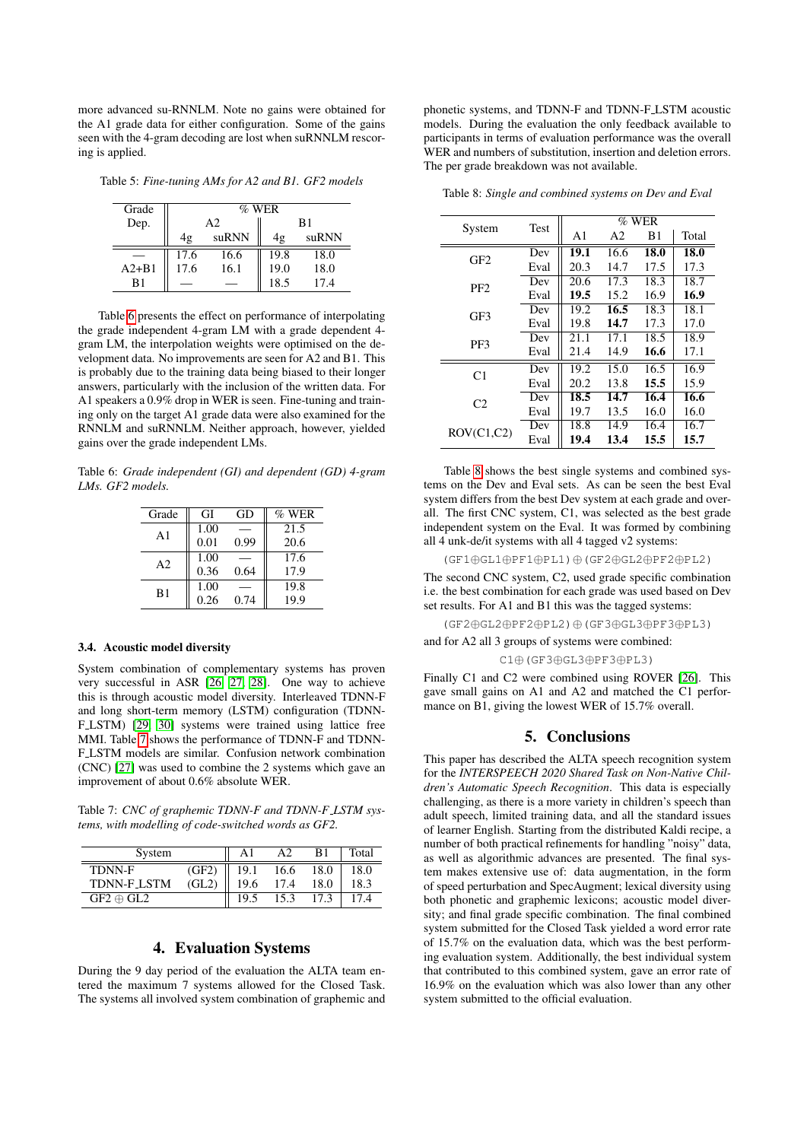more advanced su-RNNLM. Note no gains were obtained for the A1 grade data for either configuration. Some of the gains seen with the 4-gram decoding are lost when suRNNLM rescoring is applied.

<span id="page-3-1"></span>Table 5: *Fine-tuning AMs for A2 and B1. GF2 models*

| Grade     | $\%$ WER       |       |                |       |  |  |
|-----------|----------------|-------|----------------|-------|--|--|
| Dep.      | A <sub>2</sub> |       | B <sub>1</sub> |       |  |  |
|           | 4g             | suRNN | 4g             | suRNN |  |  |
|           | 17.6           | 16.6  | 19.8           | 18.0  |  |  |
| $A2 + B1$ | 17.6           | 16.1  | 19.0           | 18.0  |  |  |
| B1        |                |       | 18.5           | 17.4  |  |  |

Table [6](#page-3-2) presents the effect on performance of interpolating the grade independent 4-gram LM with a grade dependent 4 gram LM, the interpolation weights were optimised on the development data. No improvements are seen for A2 and B1. This is probably due to the training data being biased to their longer answers, particularly with the inclusion of the written data. For A1 speakers a 0.9% drop in WER is seen. Fine-tuning and training only on the target A1 grade data were also examined for the RNNLM and suRNNLM. Neither approach, however, yielded gains over the grade independent LMs.

<span id="page-3-2"></span>Table 6: *Grade independent (GI) and dependent (GD) 4-gram LMs. GF2 models.*

| Grade          | GI   | GD   | $%$ WER |
|----------------|------|------|---------|
| A1             | 1.00 |      | 21.5    |
|                | 0.01 | 0.99 | 20.6    |
| A <sub>2</sub> | 1.00 |      | 17.6    |
|                | 0.36 | 0.64 | 17.9    |
| B1             | 1.00 |      | 19.8    |
|                | 0.26 | 0.74 | 19.9    |

#### 3.4. Acoustic model diversity

System combination of complementary systems has proven very successful in ASR [\[26,](#page-4-25) [27,](#page-4-26) [28\]](#page-4-27). One way to achieve this is through acoustic model diversity. Interleaved TDNN-F and long short-term memory (LSTM) configuration (TDNN-F.LSTM) [\[29,](#page-4-28) [30\]](#page-4-29) systems were trained using lattice free MMI. Table [7](#page-3-3) shows the performance of TDNN-F and TDNN-F LSTM models are similar. Confusion network combination (CNC) [\[27\]](#page-4-26) was used to combine the 2 systems which gave an improvement of about 0.6% absolute WER.

<span id="page-3-3"></span>Table 7: *CNC of graphemic TDNN-F and TDNN-F LSTM systems, with modelling of code-switched words as GF2.*

| System           |       |      |      | B1   | Total |
|------------------|-------|------|------|------|-------|
| TDNN-F           | (GF2) | 19.1 | 16.6 | 18.0 | 18.0  |
| TDNN-F_LSTM      | (GL2) | 19.6 | 17.4 | 18.0 | 18.3  |
| $GF2 \oplus GL2$ |       |      | 15.3 |      | 174   |

### 4. Evaluation Systems

<span id="page-3-0"></span>During the 9 day period of the evaluation the ALTA team entered the maximum 7 systems allowed for the Closed Task. The systems all involved system combination of graphemic and

phonetic systems, and TDNN-F and TDNN-F LSTM acoustic models. During the evaluation the only feedback available to participants in terms of evaluation performance was the overall WER and numbers of substitution, insertion and deletion errors. The per grade breakdown was not available.

<span id="page-3-4"></span>Table 8: *Single and combined systems on Dev and Eval*

|                 |             | $%$ WER |                |      |       |  |
|-----------------|-------------|---------|----------------|------|-------|--|
| System          | <b>Test</b> | A1      | A <sub>2</sub> | B1   | Total |  |
| GF2             | Dev         | 19.1    | 16.6           | 18.0 | 18.0  |  |
|                 | Eval        | 20.3    | 14.7           | 17.5 | 17.3  |  |
| PF <sub>2</sub> | Dev         | 20.6    | 17.3           | 18.3 | 18.7  |  |
|                 | Eval        | 19.5    | 15.2           | 16.9 | 16.9  |  |
| GF3             | Dev         | 19.2    | 16.5           | 18.3 | 18.1  |  |
|                 | Eval        | 19.8    | 14.7           | 17.3 | 17.0  |  |
| PF3             | Dev         | 21.1    | 17.1           | 18.5 | 18.9  |  |
|                 | Eval        | 21.4    | 14.9           | 16.6 | 17.1  |  |
| C1              | Dev         | 19.2    | 15.0           | 16.5 | 16.9  |  |
|                 | Eval        | 20.2    | 13.8           | 15.5 | 15.9  |  |
| C <sub>2</sub>  | Dev         | 18.5    | 14.7           | 16.4 | 16.6  |  |
|                 | Eval        | 19.7    | 13.5           | 16.0 | 16.0  |  |
| ROV(C1, C2)     | Dev         | 18.8    | 14.9           | 16.4 | 16.7  |  |
|                 | Eval        | 19.4    | 13.4           | 15.5 | 15.7  |  |

Table [8](#page-3-4) shows the best single systems and combined systems on the Dev and Eval sets. As can be seen the best Eval system differs from the best Dev system at each grade and overall. The first CNC system, C1, was selected as the best grade independent system on the Eval. It was formed by combining all 4 unk-de/it systems with all 4 tagged v2 systems:

(GF1⊕GL1⊕PF1⊕PL1)⊕(GF2⊕GL2⊕PF2⊕PL2)

The second CNC system, C2, used grade specific combination i.e. the best combination for each grade was used based on Dev set results. For A1 and B1 this was the tagged systems:

(GF2⊕GL2⊕PF2⊕PL2)⊕(GF3⊕GL3⊕PF3⊕PL3)

and for A2 all 3 groups of systems were combined:

C1⊕(GF3⊕GL3⊕PF3⊕PL3)

Finally C1 and C2 were combined using ROVER [\[26\]](#page-4-25). This gave small gains on A1 and A2 and matched the C1 performance on B1, giving the lowest WER of 15.7% overall.

# 5. Conclusions

This paper has described the ALTA speech recognition system for the *INTERSPEECH 2020 Shared Task on Non-Native Children's Automatic Speech Recognition*. This data is especially challenging, as there is a more variety in children's speech than adult speech, limited training data, and all the standard issues of learner English. Starting from the distributed Kaldi recipe, a number of both practical refinements for handling "noisy" data, as well as algorithmic advances are presented. The final system makes extensive use of: data augmentation, in the form of speed perturbation and SpecAugment; lexical diversity using both phonetic and graphemic lexicons; acoustic model diversity; and final grade specific combination. The final combined system submitted for the Closed Task yielded a word error rate of 15.7% on the evaluation data, which was the best performing evaluation system. Additionally, the best individual system that contributed to this combined system, gave an error rate of 16.9% on the evaluation which was also lower than any other system submitted to the official evaluation.